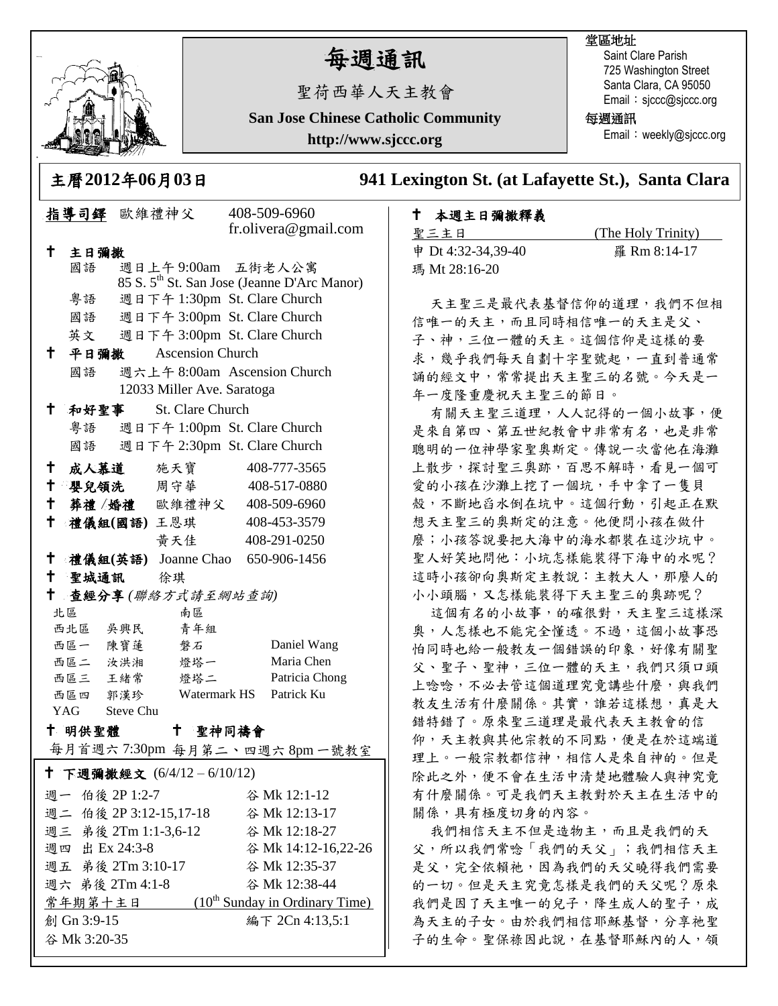

# 每週通訊

聖荷西華人天主教會

**San Jose Chinese Catholic Community**

**http://www.sjccc.org**

### 堂區地址

Saint Clare Parish 725 Washington Street Santa Clara, CA 95050 Email: sjccc@sjccc.org

每週通訊

Email: weekly@sjccc.org

主曆**2012**年**06**月**03**日 **941 Lexington St. (at Lafayette St.), Santa Clara** 

### 本週主日彌撒釋義

**聖三主日 (The Holy Trinity)** 申 Dt 4:32-34,39-40 羅 Rm 8:14-17 瑪 Mt 28:16-20

天主聖三是最代表基督信仰的道理,我們不但相 信唯一的天主是父、 子、神,三位一體的天主。這個信仰是這樣的要 求,幾乎我們每天自劃十字聖號起,一直到普通常 誦的經文中,常常提出天主聖三的名號。今天是一 年一度隆重慶祝天主聖三的節日。

有關天主聖三道理,人人記得的一個小故事,便 是來自第四、第五世紀教會中非常有名,也是非常 聰明的一位神學家聖奧斯定。傳說一次當他在海灘 上散步,探討聖三奧跡,百思不解時,看見一個可 愛的小孩在沙灘上挖了一個坑,手中拿了一隻貝 殼,不斷地舀水倒在坑中。這個行動,引起正在默 想天主聖三的奧斯定的注意。他便問小孩在做什 麼;小孩答說要把大海中的海水都裝在這沙坑中。 聖人好笑地問他:小坑怎樣能裝得下海中的水呢? 這時小孩卻向奧斯定主教說:主教大人,那麼人的 小小頭腦,又怎樣能裝得下天主聖三的奧跡呢?

這個有名的小故事,的確很對,天主聖三這樣深 奧,人怎樣也不能完全懂透。不過,這個小故事恐 怕同時也給一般教友一個錯誤的印象,好像有關聖 父、聖子、聖神,三位一體的天主,我們只須口頭 上唸唸,不必去管這個道理究竟講些什麼,與我們 教友生活有什麼關係。其實,誰若這樣想,真是大 錯特錯了。原來聖三道理是最代表天主教會的信 仰,天主教與其他宗教的不同點,便是在於這端道 理上。一般宗教都信神,相信人是來自神的。但是 除此之外,便不會在生活中清楚地體驗人與神究竟 有什麼關係。可是我們天主教對於天主在生活中的 關係,具有極度切身的內容。

我們相信天主不但是造物主,而且是我們的天 父,所以我們常唸「我們的天父」;我們相信天主 是父,完全依賴祂,因為我們的天父曉得我們需要 的一切。但是天主究竟怎樣是我們的天父呢?原來 我們是因了天主唯一的兒子,降生成人的聖子,成 為天主的子女。由於我們相信耶穌基督,分享祂聖 子的生命。聖保祿因此說,在基督耶穌內的人,領

| $\mu$ /a $\mu$ vi $\mu$ vv $\mu$                          |                                    |  |                                 |  |                                                         |  |
|-----------------------------------------------------------|------------------------------------|--|---------------------------------|--|---------------------------------------------------------|--|
|                                                           | 指導司鐸 歐維禮神父                         |  |                                 |  | 408-509-6960                                            |  |
|                                                           |                                    |  |                                 |  | fr.olivera@gmail.com                                    |  |
| †∶<br>主日彌撒                                                |                                    |  |                                 |  |                                                         |  |
|                                                           | 國語                                 |  | 週日上午 9:00am 五街老人公寓              |  |                                                         |  |
|                                                           |                                    |  |                                 |  | 85 S. 5 <sup>th</sup> St. San Jose (Jeanne D'Arc Manor) |  |
|                                                           | 粤語                                 |  | 週日下午 1:30pm St. Clare Church    |  |                                                         |  |
|                                                           |                                    |  | 國語 週日下午 3:00pm St. Clare Church |  |                                                         |  |
|                                                           |                                    |  | 英文 週日下午 3:00pm St. Clare Church |  |                                                         |  |
| ↑.                                                        |                                    |  | 平日彌撒 Ascension Church           |  |                                                         |  |
|                                                           | 週六上午 8:00am Ascension Church<br>國語 |  |                                 |  |                                                         |  |
| 12033 Miller Ave. Saratoga                                |                                    |  |                                 |  |                                                         |  |
| $^{\dagger}$                                              |                                    |  | 和好聖事 St. Clare Church           |  |                                                         |  |
|                                                           |                                    |  | 粤語 週日下午 1:00pm St. Clare Church |  |                                                         |  |
|                                                           | 週日下午 2:30pm St. Clare Church<br>國語 |  |                                 |  |                                                         |  |
| $\mathsf{t}^-$                                            |                                    |  |                                 |  | 成人慕道 施天寶 408-777-3565                                   |  |
| $\mathbf +$                                               |                                    |  | 嬰兒領洗 周守華                        |  | 408-517-0880                                            |  |
| † 1                                                       |                                    |  |                                 |  | 葬禮 / 婚禮 歐維禮神父 408-509-6960                              |  |
| $^\dagger$                                                |                                    |  |                                 |  | 禮儀組(國語)王恩琪 408-453-3579                                 |  |
|                                                           |                                    |  | 黄天佳                             |  | 408-291-0250                                            |  |
| $\mathbf +$                                               |                                    |  |                                 |  | 禮儀組(英語) Joanne Chao 650-906-1456                        |  |
|                                                           | 十 聖城通訊 徐琪                          |  |                                 |  |                                                         |  |
| $\mathbf{t}$<br>查經分享(聯絡方式請至網站查詢)                          |                                    |  |                                 |  |                                                         |  |
| 南區<br>北區                                                  |                                    |  |                                 |  |                                                         |  |
|                                                           | 西北區 吳興民                            |  | 青年組                             |  |                                                         |  |
|                                                           | 西區一 陳寶蓮                            |  | 磐石                              |  | Daniel Wang                                             |  |
|                                                           | 西區二 汝洪湘                            |  | 燈塔一                             |  | Maria Chen                                              |  |
|                                                           |                                    |  | 西區三 王緒常 燈塔二                     |  | Patricia Chong                                          |  |
| Watermark HS Patrick Ku<br>西區四 郭漢珍<br>YAG Steve Chu       |                                    |  |                                 |  |                                                         |  |
|                                                           |                                    |  |                                 |  |                                                         |  |
| 十 聖神同禱會<br>十 明供聖體 しんじょう<br>每月首週六 7:30pm 每月第二丶四週六 8pm一號教室  |                                    |  |                                 |  |                                                         |  |
|                                                           |                                    |  |                                 |  |                                                         |  |
| † 下週彌撒經文 (6/4/12-6/10/12)                                 |                                    |  |                                 |  |                                                         |  |
| 週一 伯後 2P 1:2-7                                            |                                    |  |                                 |  | 谷 Mk 12:1-12                                            |  |
| 週二 伯後 2P 3:12-15,17-18                                    |                                    |  |                                 |  | 谷 Mk 12:13-17                                           |  |
| 週三 弟後 2Tm 1:1-3,6-12                                      |                                    |  |                                 |  | 谷 Mk 12:18-27                                           |  |
| 週四 出 Ex 24:3-8                                            |                                    |  |                                 |  | 谷 Mk 14:12-16,22-26                                     |  |
| 週五 弟後 2Tm 3:10-17                                         |                                    |  |                                 |  | 谷 Mk 12:35-37                                           |  |
| 週六 弟後 2Tm 4:1-8<br>谷 Mk 12:38-44                          |                                    |  |                                 |  |                                                         |  |
| <u> 常年期第十主日 (10<sup>th</sup> Sunday in Ordinary Time)</u> |                                    |  |                                 |  |                                                         |  |
| 編下 2Cn 4:13,5:1<br>創 Gn 3:9-15                            |                                    |  |                                 |  |                                                         |  |
| 谷 Mk 3:20-35                                              |                                    |  |                                 |  |                                                         |  |